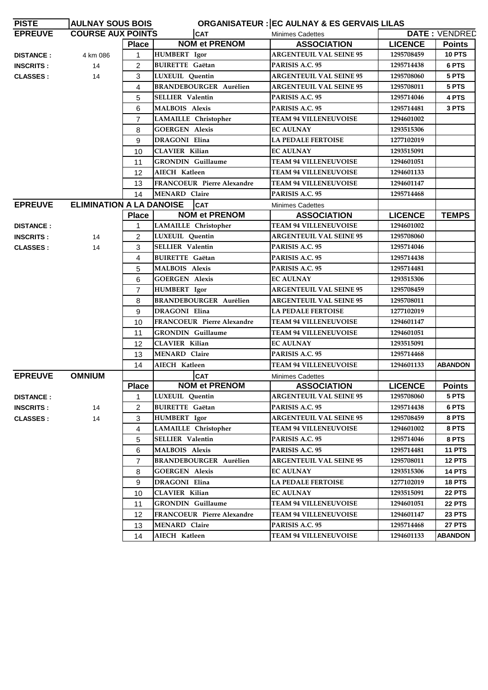| <b>PISTE</b>     | <b>AULNAY SOUS BOIS</b>         |                |                                   | <b>ORGANISATEUR : EC AULNAY &amp; ES GERVAIS LILAS</b> |                |                      |
|------------------|---------------------------------|----------------|-----------------------------------|--------------------------------------------------------|----------------|----------------------|
| <b>EPREUVE</b>   | <b>COURSE AUX POINTS</b>        |                | <b>CAT</b>                        | <b>Minimes Cadettes</b>                                |                | <b>DATE: VENDRED</b> |
|                  |                                 | <b>Place</b>   | <b>NOM et PRENOM</b>              | <b>ASSOCIATION</b>                                     | <b>LICENCE</b> | <b>Points</b>        |
| <b>DISTANCE:</b> | 4 km 086                        |                | <b>HUMBERT</b> Igor               | <b>ARGENTEUIL VAL SEINE 95</b>                         | 1295708459     | <b>10 PTS</b>        |
| <b>INSCRITS:</b> | 14                              | 2              | <b>BUIRETTE Gaëtan</b>            | PARISIS A.C. 95                                        | 1295714438     | 6 PTS                |
| <b>CLASSES:</b>  | 14                              | 3              | LUXEUIL Quentin                   | <b>ARGENTEUIL VAL SEINE 95</b>                         | 1295708060     | 5 PTS                |
|                  |                                 | $\overline{4}$ | <b>BRANDEBOURGER Aurélien</b>     | <b>ARGENTEUIL VAL SEINE 95</b>                         | 1295708011     | 5 PTS                |
|                  |                                 | 5              | <b>SELLIER</b> Valentin           | PARISIS A.C. 95                                        | 1295714046     | 4 PTS                |
|                  |                                 | 6              | <b>MALBOIS Alexis</b>             | PARISIS A.C. 95                                        | 1295714481     | 3 PTS                |
|                  |                                 | $\overline{7}$ | LAMAILLE Christopher              | <b>TEAM 94 VILLENEUVOISE</b>                           | 1294601002     |                      |
|                  |                                 | 8              | <b>GOERGEN Alexis</b>             | <b>EC AULNAY</b>                                       | 1293515306     |                      |
|                  |                                 | 9              | <b>DRAGONI Elina</b>              | <b>LA PEDALE FERTOISE</b>                              | 1277102019     |                      |
|                  |                                 | 10             | <b>CLAVIER Kilian</b>             | <b>EC AULNAY</b>                                       | 1293515091     |                      |
|                  |                                 | 11             | <b>GRONDIN</b> Guillaume          | <b>TEAM 94 VILLENEUVOISE</b>                           | 1294601051     |                      |
|                  |                                 | 12             | AIECH Katleen                     | <b>TEAM 94 VILLENEUVOISE</b>                           | 1294601133     |                      |
|                  |                                 | 13             | <b>FRANCOEUR Pierre Alexandre</b> | <b>TEAM 94 VILLENEUVOISE</b>                           | 1294601147     |                      |
|                  |                                 | 14             | <b>MENARD Claire</b>              | PARISIS A.C. 95                                        | 1295714468     |                      |
| <b>EPREUVE</b>   | <b>ELIMINATION A LA DANOISE</b> |                | <b>CAT</b>                        | <b>Minimes Cadettes</b>                                |                |                      |
|                  |                                 | <b>Place</b>   | <b>NOM et PRENOM</b>              | <b>ASSOCIATION</b>                                     | <b>LICENCE</b> | <b>TEMPS</b>         |
| <b>DISTANCE:</b> |                                 |                | LAMAILLE Christopher              | <b>TEAM 94 VILLENEUVOISE</b>                           | 1294601002     |                      |
| <b>INSCRITS:</b> | 14                              | 2              | LUXEUIL Quentin                   | <b>ARGENTEUIL VAL SEINE 95</b>                         | 1295708060     |                      |
| <b>CLASSES:</b>  | 14                              | 3              | <b>SELLIER Valentin</b>           | PARISIS A.C. 95                                        | 1295714046     |                      |
|                  |                                 | 4              | <b>BUIRETTE Gaëtan</b>            | PARISIS A.C. 95                                        | 1295714438     |                      |
|                  |                                 | 5              | <b>MALBOIS Alexis</b>             | PARISIS A.C. 95                                        | 1295714481     |                      |
|                  |                                 | 6              | <b>GOERGEN Alexis</b>             | <b>EC AULNAY</b>                                       | 1293515306     |                      |
|                  |                                 | $\overline{7}$ | <b>HUMBERT</b> Igor               | <b>ARGENTEUIL VAL SEINE 95</b>                         | 1295708459     |                      |
|                  |                                 | 8              | <b>BRANDEBOURGER Aurélien</b>     | <b>ARGENTEUIL VAL SEINE 95</b>                         | 1295708011     |                      |
|                  |                                 | 9              | DRAGONI Elina                     | <b>LA PEDALE FERTOISE</b>                              | 1277102019     |                      |
|                  |                                 | 10             | <b>FRANCOEUR Pierre Alexandre</b> | <b>TEAM 94 VILLENEUVOISE</b>                           | 1294601147     |                      |
|                  |                                 | 11             | <b>GRONDIN</b> Guillaume          | <b>TEAM 94 VILLENEUVOISE</b>                           | 1294601051     |                      |
|                  |                                 | 12             | <b>CLAVIER Kilian</b>             | <b>EC AULNAY</b>                                       | 1293515091     |                      |
|                  |                                 | 13             | <b>MENARD Claire</b>              | PARISIS A.C. 95                                        | 1295714468     |                      |
|                  |                                 | 14             | AIECH Katleen                     | <b>TEAM 94 VILLENEUVOISE</b>                           | 1294601133     | <b>ABANDON</b>       |
| <b>EPREUVE</b>   | <b>OMNIUM</b>                   |                | <b>CAT</b>                        | <b>Minimes Cadettes</b>                                |                |                      |
|                  |                                 | <b>Place</b>   | <b>NOM et PRENOM</b>              | <b>ASSOCIATION</b>                                     | <b>LICENCE</b> | <b>Points</b>        |
| <b>DISTANCE:</b> |                                 | $\mathbf{1}$   | LUXEUIL Quentin                   | <b>ARGENTEUIL VAL SEINE 95</b>                         | 1295708060     | 5 PTS                |
| <b>INSCRITS:</b> | 14                              | 2              | <b>BUIRETTE</b> Gaëtan            | PARISIS A.C. 95                                        | 1295714438     | 6 PTS                |
| <b>CLASSES:</b>  | 14                              | 3              | <b>HUMBERT</b> Igor               | <b>ARGENTEUIL VAL SEINE 95</b>                         | 1295708459     | 8 PTS                |
|                  |                                 | 4              | LAMAILLE Christopher              | <b>TEAM 94 VILLENEUVOISE</b>                           | 1294601002     | 8 PTS                |
|                  |                                 | 5              | SELLIER Valentin                  | PARISIS A.C. 95                                        | 1295714046     | 8 PTS                |
|                  |                                 | 6              | <b>MALBOIS Alexis</b>             | PARISIS A.C. 95                                        | 1295714481     | <b>11 PTS</b>        |
|                  |                                 | $\overline{7}$ | <b>BRANDEBOURGER Aurélien</b>     | <b>ARGENTEUIL VAL SEINE 95</b>                         | 1295708011     | <b>12 PTS</b>        |
|                  |                                 | 8              | <b>GOERGEN Alexis</b>             | <b>EC AULNAY</b>                                       | 1293515306     | <b>14 PTS</b>        |
|                  |                                 | 9              | <b>DRAGONI Elina</b>              | <b>LA PEDALE FERTOISE</b>                              | 1277102019     | <b>18 PTS</b>        |
|                  |                                 | 10             | <b>CLAVIER Kilian</b>             | <b>EC AULNAY</b>                                       | 1293515091     | <b>22 PTS</b>        |
|                  |                                 | 11             | <b>GRONDIN</b> Guillaume          | <b>TEAM 94 VILLENEUVOISE</b>                           | 1294601051     | <b>22 PTS</b>        |
|                  |                                 | $12 \,$        | FRANCOEUR Pierre Alexandre        | <b>TEAM 94 VILLENEUVOISE</b>                           | 1294601147     | <b>23 PTS</b>        |
|                  |                                 | 13             | <b>MENARD Claire</b>              | PARISIS A.C. 95                                        | 1295714468     | <b>27 PTS</b>        |
|                  |                                 | 14             | <b>AIECH Katleen</b>              | <b>TEAM 94 VILLENEUVOISE</b>                           | 1294601133     | <b>ABANDON</b>       |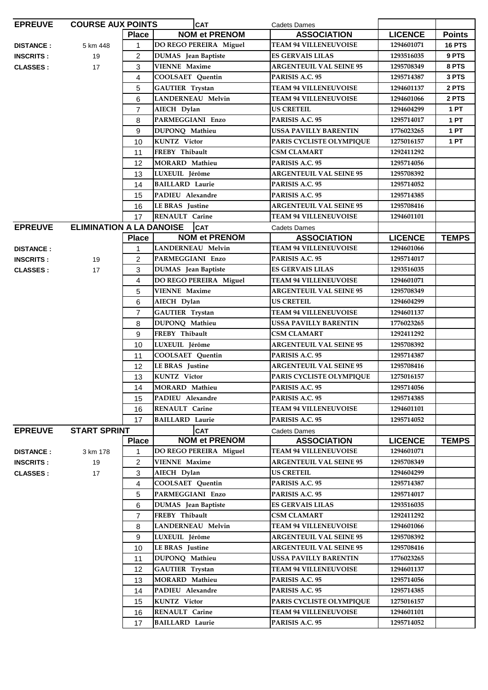| <b>EPREUVE</b>   | <b>COURSE AUX POINTS</b>        |                | <b>CAT</b>                 | <b>Cadets Dames</b>                |                |               |
|------------------|---------------------------------|----------------|----------------------------|------------------------------------|----------------|---------------|
|                  |                                 | <b>Place</b>   | <b>NOM et PRENOM</b>       | <b>ASSOCIATION</b>                 | <b>LICENCE</b> | <b>Points</b> |
| <b>DISTANCE:</b> | 5 km 448                        | 1              | DO REGO PEREIRA Miguel     | <b>TEAM 94 VILLENEUVOISE</b>       | 1294601071     | <b>16 PTS</b> |
| <b>INSCRITS:</b> | 19                              | $\overline{2}$ | DUMAS Jean Baptiste        | <b>ES GERVAIS LILAS</b>            | 1293516035     | 9 PTS         |
| <b>CLASSES:</b>  | 17                              | 3              | <b>VIENNE Maxime</b>       | <b>ARGENTEUIL VAL SEINE 95</b>     | 1295708349     | 8 PTS         |
|                  |                                 | 4              | <b>COOLSAET Quentin</b>    | PARISIS A.C. 95                    | 1295714387     | 3 PTS         |
|                  |                                 | 5              | <b>GAUTIER Trystan</b>     | <b>TEAM 94 VILLENEUVOISE</b>       | 1294601137     | 2 PTS         |
|                  |                                 | 6              | LANDERNEAU Melvin          | <b>TEAM 94 VILLENEUVOISE</b>       | 1294601066     | 2 PTS         |
|                  |                                 | $\overline{7}$ | AIECH Dylan                | <b>US CRETEIL</b>                  | 1294604299     | 1 PT          |
|                  |                                 | 8              | PARMEGGIANI Enzo           | PARISIS A.C. 95                    | 1295714017     | <b>1 PT</b>   |
|                  |                                 | 9              | DUPONQ Mathieu             | <b>USSA PAVILLY BARENTIN</b>       | 1776023265     | 1 PT          |
|                  |                                 | 10             | <b>KUNTZ</b> Victor        | PARIS CYCLISTE OLYMPIQUE           | 1275016157     | 1 PT          |
|                  |                                 | 11             | FREBY Thibault             | <b>CSM CLAMART</b>                 | 1292411292     |               |
|                  |                                 | 12             | MORARD Mathieu             | PARISIS A.C. 95                    | 1295714056     |               |
|                  |                                 | 13             | LUXEUIL Jérôme             | <b>ARGENTEUIL VAL SEINE 95</b>     | 1295708392     |               |
|                  |                                 | 14             | <b>BAILLARD</b> Laurie     | PARISIS A.C. 95                    | 1295714052     |               |
|                  |                                 | 15             | PADIEU Alexandre           | PARISIS A.C. 95                    | 1295714385     |               |
|                  |                                 | 16             | <b>LEBRAS</b> Justine      | <b>ARGENTEUIL VAL SEINE 95</b>     | 1295708416     |               |
|                  |                                 | 17             | RENAULT Carine             | <b>TEAM 94 VILLENEUVOISE</b>       | 1294601101     |               |
| <b>EPREUVE</b>   | <b>ELIMINATION A LA DANOISE</b> |                | <b>CAT</b>                 |                                    |                |               |
|                  |                                 | <b>Place</b>   | <b>NOM et PRENOM</b>       | Cadets Dames<br><b>ASSOCIATION</b> | <b>LICENCE</b> | <b>TEMPS</b>  |
|                  |                                 | 1              | LANDERNEAU Melvin          | <b>TEAM 94 VILLENEUVOISE</b>       | 1294601066     |               |
| <b>DISTANCE:</b> |                                 |                | PARMEGGIANI Enzo           | PARISIS A.C. 95                    | 1295714017     |               |
| <b>INSCRITS:</b> | 19                              | $\overline{2}$ |                            |                                    |                |               |
| <b>CLASSES:</b>  | 17                              | 3              | DUMAS Jean Baptiste        | <b>ES GERVAIS LILAS</b>            | 1293516035     |               |
|                  |                                 | 4              | DO REGO PEREIRA Miguel     | <b>TEAM 94 VILLENEUVOISE</b>       | 1294601071     |               |
|                  |                                 | 5              | <b>VIENNE Maxime</b>       | <b>ARGENTEUIL VAL SEINE 95</b>     | 1295708349     |               |
|                  |                                 | 6              | AIECH Dylan                | <b>US CRETEIL</b>                  | 1294604299     |               |
|                  |                                 | $\overline{7}$ | <b>GAUTIER Trystan</b>     | <b>TEAM 94 VILLENEUVOISE</b>       | 1294601137     |               |
|                  |                                 | 8              | DUPONQ Mathieu             | <b>USSA PAVILLY BARENTIN</b>       | 1776023265     |               |
|                  |                                 | 9              | FREBY Thibault             | <b>CSM CLAMART</b>                 | 1292411292     |               |
|                  |                                 | 10             | LUXEUIL Jérôme             | <b>ARGENTEUIL VAL SEINE 95</b>     | 1295708392     |               |
|                  |                                 | 11             | <b>COOLSAET</b> Quentin    | PARISIS A.C. 95                    | 1295714387     |               |
|                  |                                 | 12             | <b>LEBRAS</b> Justine      | <b>ARGENTEUIL VAL SEINE 95</b>     | 1295708416     |               |
|                  |                                 | 13             | <b>KUNTZ</b> Victor        | PARIS CYCLISTE OLYMPIQUE           | 1275016157     |               |
|                  |                                 | 14             | MORARD Mathieu             | PARISIS A.C. 95                    | 1295714056     |               |
|                  |                                 | 15             | PADIEU Alexandre           | PARISIS A.C. 95                    | 1295714385     |               |
|                  |                                 | 16             | RENAULT Carine             | <b>TEAM 94 VILLENEUVOISE</b>       | 1294601101     |               |
|                  |                                 | 17             | <b>BAILLARD</b> Laurie     | PARISIS A.C. 95                    | 1295714052     |               |
| <b>EPREUVE</b>   | <b>START SPRINT</b>             |                | <b>CAT</b>                 | Cadets Dames                       |                |               |
|                  |                                 | <b>Place</b>   | <b>NOM et PRENOM</b>       | <b>ASSOCIATION</b>                 | <b>LICENCE</b> | <b>TEMPS</b>  |
| <b>DISTANCE:</b> | 3 km 178                        | 1              | DO REGO PEREIRA Miguel     | <b>TEAM 94 VILLENEUVOISE</b>       | 1294601071     |               |
| <b>INSCRITS:</b> | 19                              | 2              | <b>VIENNE Maxime</b>       | <b>ARGENTEUIL VAL SEINE 95</b>     | 1295708349     |               |
| <b>CLASSES:</b>  | 17                              | 3              | AIECH Dylan                | <b>US CRETEIL</b>                  | 1294604299     |               |
|                  |                                 | 4              | <b>COOLSAET Quentin</b>    | PARISIS A.C. 95                    | 1295714387     |               |
|                  |                                 | 5              | PARMEGGIANI Enzo           | PARISIS A.C. 95                    | 1295714017     |               |
|                  |                                 | 6              | <b>DUMAS</b> Jean Baptiste | <b>ES GERVAIS LILAS</b>            | 1293516035     |               |
|                  |                                 | $\overline{7}$ | FREBY Thibault             | <b>CSM CLAMART</b>                 | 1292411292     |               |
|                  |                                 | 8              | LANDERNEAU Melvin          | <b>TEAM 94 VILLENEUVOISE</b>       | 1294601066     |               |
|                  |                                 | 9              | LUXEUIL Jérôme             | <b>ARGENTEUIL VAL SEINE 95</b>     | 1295708392     |               |
|                  |                                 | 10             | <b>LEBRAS</b> Justine      | <b>ARGENTEUIL VAL SEINE 95</b>     | 1295708416     |               |
|                  |                                 | 11             | DUPONQ Mathieu             | USSA PAVILLY BARENTIN              | 1776023265     |               |
|                  |                                 | 12             | GAUTIER Trystan            | <b>TEAM 94 VILLENEUVOISE</b>       | 1294601137     |               |
|                  |                                 | 13             | <b>MORARD Mathieu</b>      | PARISIS A.C. 95                    | 1295714056     |               |
|                  |                                 | 14             | PADIEU Alexandre           | PARISIS A.C. 95                    | 1295714385     |               |
|                  |                                 | 15             | <b>KUNTZ</b> Victor        | PARIS CYCLISTE OLYMPIQUE           | 1275016157     |               |
|                  |                                 | 16             | RENAULT Carine             | <b>TEAM 94 VILLENEUVOISE</b>       | 1294601101     |               |
|                  |                                 | 17             | <b>BAILLARD Laurie</b>     | PARISIS A.C. 95                    | 1295714052     |               |
|                  |                                 |                |                            |                                    |                |               |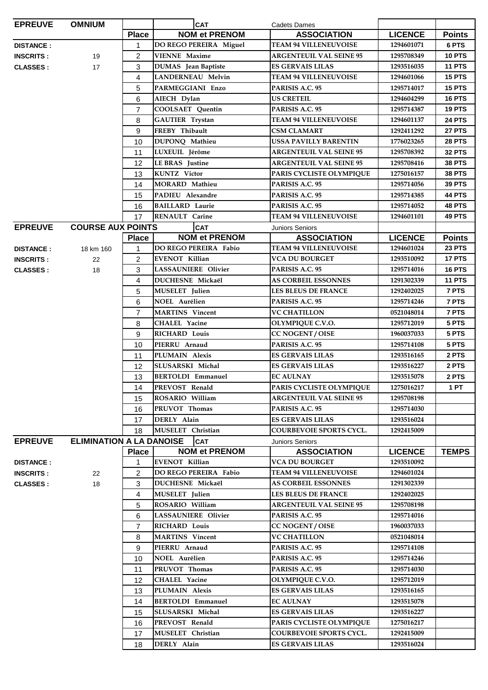| <b>EPREUVE</b>   | <b>OMNIUM</b>            |                | <b>CAT</b>                          | <b>Cadets Dames</b>                                 |                          |               |
|------------------|--------------------------|----------------|-------------------------------------|-----------------------------------------------------|--------------------------|---------------|
|                  |                          | <b>Place</b>   | <b>NOM et PRENOM</b>                | <b>ASSOCIATION</b>                                  | <b>LICENCE</b>           | <b>Points</b> |
| <b>DISTANCE:</b> |                          | $\mathbf{1}$   | DO REGO PEREIRA Miguel              | <b>TEAM 94 VILLENEUVOISE</b>                        | 1294601071               | 6 PTS         |
| <b>INSCRITS:</b> | 19                       | $\overline{2}$ | <b>VIENNE Maxime</b>                | <b>ARGENTEUIL VAL SEINE 95</b>                      | 1295708349               | <b>10 PTS</b> |
| <b>CLASSES:</b>  | 17                       | 3              | <b>DUMAS</b> Jean Baptiste          | ES GERVAIS LILAS                                    | 1293516035               | 11 PTS        |
|                  |                          | 4              | LANDERNEAU Melvin                   | <b>TEAM 94 VILLENEUVOISE</b>                        | 1294601066               | <b>15 PTS</b> |
|                  |                          | 5              | PARMEGGIANI Enzo                    | PARISIS A.C. 95                                     | 1295714017               | <b>15 PTS</b> |
|                  |                          | 6              | AIECH Dylan                         | <b>US CRETEIL</b>                                   | 1294604299               | <b>16 PTS</b> |
|                  |                          | $\overline{7}$ | <b>COOLSAET</b> Quentin             | PARISIS A.C. 95                                     | 1295714387               | <b>19 PTS</b> |
|                  |                          | 8              | <b>GAUTIER</b> Trystan              | <b>TEAM 94 VILLENEUVOISE</b>                        | 1294601137               | <b>24 PTS</b> |
|                  |                          | 9              | FREBY Thibault                      | CSM CLAMART                                         | 1292411292               | 27 PTS        |
|                  |                          | 10             | DUPONQ Mathieu                      | USSA PAVILLY BARENTIN                               | 1776023265               | <b>28 PTS</b> |
|                  |                          | 11             | LUXEUIL Jérôme                      | <b>ARGENTEUIL VAL SEINE 95</b>                      | 1295708392               | <b>32 PTS</b> |
|                  |                          | 12             | <b>LE BRAS</b> Justine              | <b>ARGENTEUIL VAL SEINE 95</b>                      | 1295708416               | <b>38 PTS</b> |
|                  |                          | 13             | <b>KUNTZ</b> Victor                 | PARIS CYCLISTE OLYMPIQUE                            | 1275016157               | <b>38 PTS</b> |
|                  |                          | 14             | <b>MORARD Mathieu</b>               | PARISIS A.C. 95                                     | 1295714056               | 39 PTS        |
|                  |                          | 15             | PADIEU Alexandre                    | PARISIS A.C. 95                                     | 1295714385               | 44 PTS        |
|                  |                          | 16             | <b>BAILLARD</b> Laurie              | PARISIS A.C. 95                                     | 1295714052               | <b>48 PTS</b> |
|                  |                          | 17             | RENAULT Carine                      | <b>TEAM 94 VILLENEUVOISE</b>                        | 1294601101               | 49 PTS        |
| <b>EPREUVE</b>   | <b>COURSE AUX POINTS</b> |                | <b>CAT</b>                          | <b>Juniors Seniors</b>                              |                          |               |
|                  |                          | <b>Place</b>   | <b>NOM et PRENOM</b>                | <b>ASSOCIATION</b>                                  | <b>LICENCE</b>           | <b>Points</b> |
| <b>DISTANCE:</b> | 18 km 160                | 1              | DO REGO PEREIRA Fabio               | <b>TEAM 94 VILLENEUVOISE</b>                        | 1294601024               | <b>23 PTS</b> |
| <b>INSCRITS:</b> | 22                       | $\overline{2}$ | <b>EVENOT Killian</b>               | VCA DU BOURGET                                      | 1293510092               | 17 PTS        |
| <b>CLASSES:</b>  | 18                       | 3              | <b>LASSAUNIERE Olivier</b>          | PARISIS A.C. 95                                     | 1295714016               | <b>16 PTS</b> |
|                  |                          | 4              | <b>DUCHESNE Mickaël</b>             | <b>AS CORBEIL ESSONNES</b>                          | 1291302339               | <b>11 PTS</b> |
|                  |                          | 5              | <b>MUSELET</b> Julien               | <b>LES BLEUS DE FRANCE</b>                          | 1292402025               | 7 PTS         |
|                  |                          | 6              | <b>NOEL Aurélien</b>                | PARISIS A.C. 95                                     | 1295714246               | 7 PTS         |
|                  |                          | 7              | <b>MARTINS</b> Vincent              | <b>VC CHATILLON</b>                                 | 0521048014               | 7 PTS         |
|                  |                          | 8              | CHALEL Yacine                       | <b>OLYMPIQUE C.V.O.</b>                             | 1295712019               | 5 PTS         |
|                  |                          | 9              | <b>RICHARD Louis</b>                | <b>CC NOGENT / OISE</b>                             | 1960037033               | 5 PTS         |
|                  |                          | 10             | PIERRU Arnaud                       | PARISIS A.C. 95                                     | 1295714108               | 5 PTS         |
|                  |                          | 11             | PLUMAIN Alexis                      | <b>ES GERVAIS LILAS</b>                             | 1293516165               | 2 PTS         |
|                  |                          | 12             | SLUSARSKI Michal                    | ES GERVAIS LILAS                                    | 1293516227               | 2 PTS         |
|                  |                          | 13             | <b>BERTOLDI Emmanuel</b>            | <b>EC AULNAY</b>                                    | 1293515078               | 2 PTS         |
|                  |                          | 14             | PREVOST Renald                      | PARIS CYCLISTE OLYMPIQUE                            | 1275016217               | <b>1 PT</b>   |
|                  |                          | 15             | ROSARIO William                     | <b>ARGENTEUIL VAL SEINE 95</b>                      | 1295708198               |               |
|                  |                          | 16             | PRUVOT Thomas                       | PARISIS A.C. 95                                     | 1295714030               |               |
|                  |                          | 17             | DERLY Alain                         | <b>ES GERVAIS LILAS</b>                             | 1293516024               |               |
|                  |                          | 18             | MUSELET Christian                   | COURBEVOIE SPORTS CYCL.                             | 1292415009               |               |
| <b>EPREUVE</b>   |                          |                | <b>ELIMINATION A LA DANOISE</b> CAT | <b>Juniors Seniors</b>                              |                          |               |
|                  |                          | <b>Place</b>   | <b>NOM et PRENOM</b>                | <b>ASSOCIATION</b>                                  | <b>LICENCE</b>           | <b>TEMPS</b>  |
| <b>DISTANCE:</b> |                          | 1              | <b>EVENOT Killian</b>               | VCA DU BOURGET                                      | 1293510092               |               |
| <b>INSCRITS:</b> | 22                       | 2              | <b>DO REGO PEREIRA Fabio</b>        | <b>TEAM 94 VILLENEUVOISE</b>                        | 1294601024               |               |
| <b>CLASSES:</b>  | 18                       | 3              | <b>DUCHESNE Mickaël</b>             | <b>AS CORBEIL ESSONNES</b>                          | 1291302339               |               |
|                  |                          | 4              | <b>MUSELET</b> Julien               | <b>LES BLEUS DE FRANCE</b>                          | 1292402025               |               |
|                  |                          | 5              | ROSARIO William                     | <b>ARGENTEUIL VAL SEINE 95</b>                      | 1295708198               |               |
|                  |                          | 6              | <b>LASSAUNIERE Olivier</b>          | PARISIS A.C. 95                                     | 1295714016               |               |
|                  |                          | 7              | <b>RICHARD Louis</b>                | <b>CC NOGENT / OISE</b>                             | 1960037033               |               |
|                  |                          | 8              | <b>MARTINS</b> Vincent              | <b>VC CHATILLON</b>                                 | 0521048014               |               |
|                  |                          | 9              | PIERRU Arnaud                       | PARISIS A.C. 95                                     | 1295714108               |               |
|                  |                          | 10             | <b>NOEL Aurélien</b>                | PARISIS A.C. 95                                     | 1295714246               |               |
|                  |                          | 11             | PRUVOT Thomas                       | PARISIS A.C. 95                                     | 1295714030               |               |
|                  |                          | 12             | <b>CHALEL Yacine</b>                | <b>OLYMPIQUE C.V.O.</b>                             | 1295712019               |               |
|                  |                          | 13             | PLUMAIN Alexis                      | <b>ES GERVAIS LILAS</b>                             | 1293516165               |               |
|                  |                          | 14             | <b>BERTOLDI Emmanuel</b>            | <b>EC AULNAY</b>                                    | 1293515078               |               |
|                  |                          | 15             | SLUSARSKI Michal<br>PREVOST Renald  | <b>ES GERVAIS LILAS</b><br>PARIS CYCLISTE OLYMPIQUE | 1293516227               |               |
|                  |                          | 16             | MUSELET Christian                   | <b>COURBEVOIE SPORTS CYCL.</b>                      | 1275016217<br>1292415009 |               |
|                  |                          | 17             | DERLY Alain                         | <b>ES GERVAIS LILAS</b>                             | 1293516024               |               |
|                  |                          | 18             |                                     |                                                     |                          |               |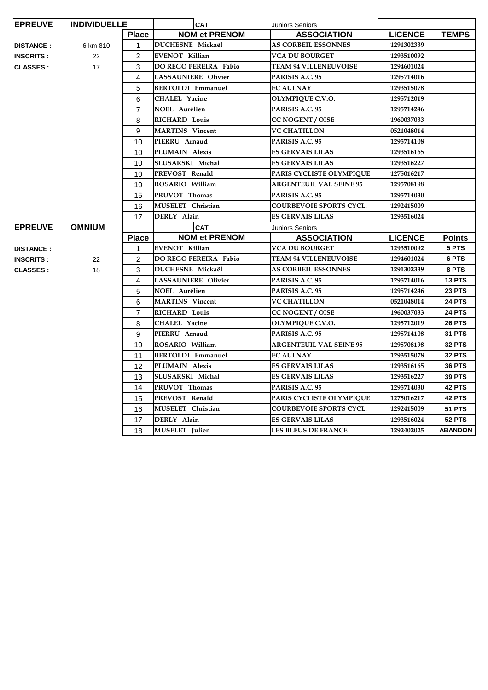| <b>EPREUVE</b>   | <b>INDIVIDUELLE</b> |                | <b>CAT</b>                   | Juniors Seniors                |                |               |
|------------------|---------------------|----------------|------------------------------|--------------------------------|----------------|---------------|
|                  |                     | <b>Place</b>   | <b>NOM et PRENOM</b>         | <b>ASSOCIATION</b>             | <b>LICENCE</b> | <b>TEMPS</b>  |
| <b>DISTANCE:</b> | 6 km 810            | $\mathbf{1}$   | <b>DUCHESNE Mickaël</b>      | <b>AS CORBEIL ESSONNES</b>     | 1291302339     |               |
| <b>INSCRITS:</b> | 22                  | 2              | <b>EVENOT Killian</b>        | <b>VCA DU BOURGET</b>          | 1293510092     |               |
| <b>CLASSES:</b>  | 17                  | 3              | DO REGO PEREIRA Fabio        | <b>TEAM 94 VILLENEUVOISE</b>   | 1294601024     |               |
|                  |                     | 4              | LASSAUNIERE Olivier          | PARISIS A.C. 95                | 1295714016     |               |
|                  |                     | 5              | <b>BERTOLDI Emmanuel</b>     | <b>EC AULNAY</b>               | 1293515078     |               |
|                  |                     | 6              | <b>CHALEL Yacine</b>         | OLYMPIQUE C.V.O.               | 1295712019     |               |
|                  |                     | $\overline{7}$ | NOEL Aurélien                | PARISIS A.C. 95                | 1295714246     |               |
|                  |                     | 8              | <b>RICHARD Louis</b>         | CC NOGENT / OISE               | 1960037033     |               |
|                  |                     | 9              | <b>MARTINS</b> Vincent       | <b>VC CHATILLON</b>            | 0521048014     |               |
|                  |                     | 10             | PIERRU Arnaud                | PARISIS A.C. 95                | 1295714108     |               |
|                  |                     | 10             | PLUMAIN Alexis               | <b>ES GERVAIS LILAS</b>        | 1293516165     |               |
|                  |                     | 10             | SLUSARSKI Michal             | <b>ES GERVAIS LILAS</b>        | 1293516227     |               |
|                  |                     | 10             | PREVOST Renald               | PARIS CYCLISTE OLYMPIQUE       | 1275016217     |               |
|                  |                     | 10             | ROSARIO William              | <b>ARGENTEUIL VAL SEINE 95</b> | 1295708198     |               |
|                  |                     | 15             | PRUVOT Thomas                | PARISIS A.C. 95                | 1295714030     |               |
|                  |                     | 16             | MUSELET Christian            | COURBEVOIE SPORTS CYCL.        | 1292415009     |               |
|                  |                     | 17             | DERLY Alain                  | <b>ES GERVAIS LILAS</b>        | 1293516024     |               |
| <b>EPREUVE</b>   | <b>OMNIUM</b>       |                | <b>CAT</b>                   | <b>Juniors Seniors</b>         |                |               |
|                  |                     | <b>Place</b>   | <b>NOM et PRENOM</b>         | <b>ASSOCIATION</b>             | <b>LICENCE</b> | <b>Points</b> |
| <b>DISTANCE:</b> |                     | $\mathbf{1}$   | <b>EVENOT Killian</b>        | <b>VCA DU BOURGET</b>          | 1293510092     | 5 PTS         |
| <b>INSCRITS:</b> | 22                  | $\overline{2}$ | <b>DO REGO PEREIRA Fabio</b> | <b>TEAM 94 VILLENEUVOISE</b>   | 1294601024     | 6 PTS         |
| <b>CLASSES:</b>  | 18                  | 3              | DUCHESNE Mickaël             | <b>AS CORBEIL ESSONNES</b>     | 1291302339     | 8 PTS         |
|                  |                     | 4              | <b>LASSAUNIERE Olivier</b>   | PARISIS A.C. 95                | 1295714016     | <b>13 PTS</b> |
|                  |                     | 5              | <b>NOEL Aurélien</b>         | PARISIS A.C. 95                | 1295714246     | <b>23 PTS</b> |
|                  |                     | 6              | <b>MARTINS</b> Vincent       | <b>VC CHATILLON</b>            | 0521048014     | <b>24 PTS</b> |
|                  |                     | $\overline{7}$ | <b>RICHARD Louis</b>         | <b>CC NOGENT / OISE</b>        | 1960037033     | <b>24 PTS</b> |
|                  |                     | 8              | <b>CHALEL Yacine</b>         | OLYMPIQUE C.V.O.               | 1295712019     | <b>26 PTS</b> |
|                  |                     | 9              | PIERRU Arnaud                | PARISIS A.C. 95                | 1295714108     | 31 PTS        |
|                  |                     | 10             | ROSARIO William              | <b>ARGENTEUIL VAL SEINE 95</b> | 1295708198     | <b>32 PTS</b> |
|                  |                     | 11             | <b>BERTOLDI Emmanuel</b>     | <b>EC AULNAY</b>               | 1293515078     | <b>32 PTS</b> |
|                  |                     | 12             | PLUMAIN Alexis               | <b>ES GERVAIS LILAS</b>        | 1293516165     | <b>36 PTS</b> |
|                  |                     | 13             | SLUSARSKI Michal             | <b>ES GERVAIS LILAS</b>        | 1293516227     | <b>39 PTS</b> |
|                  |                     | 14             | PRUVOT Thomas                | PARISIS A.C. 95                | 1295714030     | 42 PTS        |
|                  |                     | 15             | PREVOST Renald               | PARIS CYCLISTE OLYMPIQUE       | 1275016217     | <b>42 PTS</b> |
|                  |                     | 16             | MUSELET Christian            | <b>COURBEVOIE SPORTS CYCL.</b> | 1292415009     | <b>51 PTS</b> |
|                  |                     |                |                              |                                |                |               |
|                  |                     | 17             | DERLY Alain                  | <b>ES GERVAIS LILAS</b>        | 1293516024     | <b>52 PTS</b> |